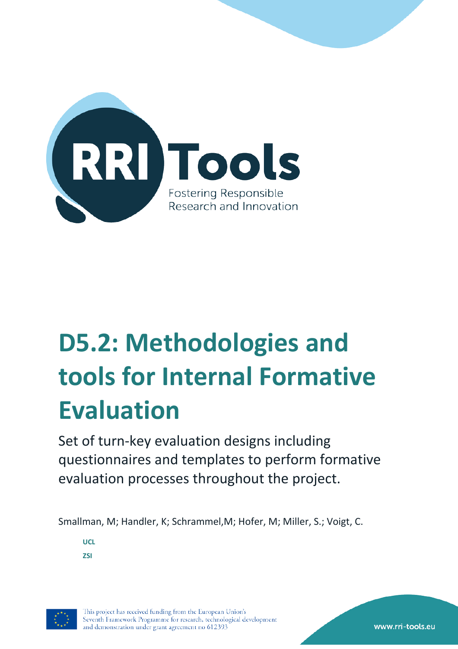

# **D5.2: Methodologies and tools for Internal Formative Evaluation**

Set of turn-key evaluation designs including questionnaires and templates to perform formative evaluation processes throughout the project.

Smallman, M; Handler, K; Schrammel,M; Hofer, M; Miller, S.; Voigt, C.

**UCL ZSI**

<span id="page-0-0"></span>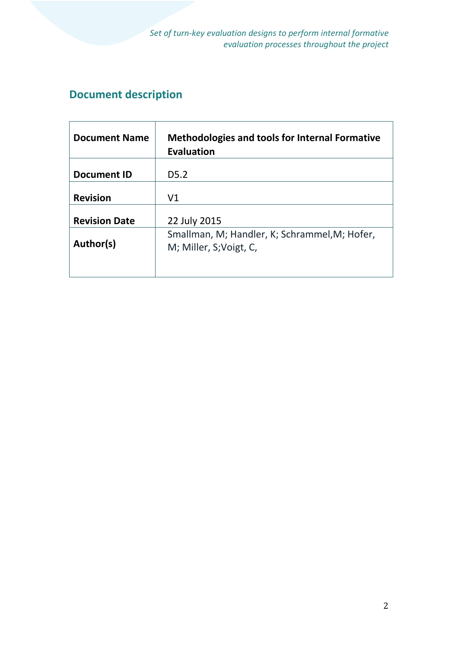# **Document description**

| <b>Document Name</b>                                                                  | <b>Methodologies and tools for Internal Formative</b><br><b>Evaluation</b> |
|---------------------------------------------------------------------------------------|----------------------------------------------------------------------------|
| <b>Document ID</b>                                                                    | D <sub>5</sub> .2                                                          |
| <b>Revision</b>                                                                       | V <sub>1</sub>                                                             |
| <b>Revision Date</b>                                                                  | 22 July 2015                                                               |
| Smallman, M; Handler, K; Schrammel, M; Hofer,<br>Author(s)<br>M; Miller, S; Voigt, C, |                                                                            |
|                                                                                       |                                                                            |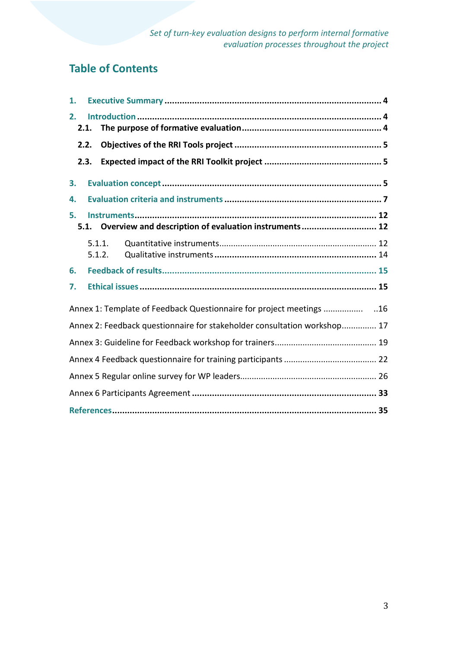# **Table of Contents**

| 1.         |                  |                                                                          |  |
|------------|------------------|--------------------------------------------------------------------------|--|
| 2.<br>2.1. |                  |                                                                          |  |
| 2.2.       |                  |                                                                          |  |
| 2.3.       |                  |                                                                          |  |
| 3.         |                  |                                                                          |  |
| 4.         |                  |                                                                          |  |
| 5.         |                  |                                                                          |  |
|            |                  | 5.1. Overview and description of evaluation instruments 12               |  |
|            | 5.1.1.<br>5.1.2. |                                                                          |  |
| 6.         |                  |                                                                          |  |
| 7.         |                  |                                                                          |  |
|            |                  | Annex 1: Template of Feedback Questionnaire for project meetings         |  |
|            |                  | Annex 2: Feedback questionnaire for stakeholder consultation workshop 17 |  |
|            |                  |                                                                          |  |
|            |                  |                                                                          |  |
|            |                  |                                                                          |  |
|            |                  |                                                                          |  |
|            |                  |                                                                          |  |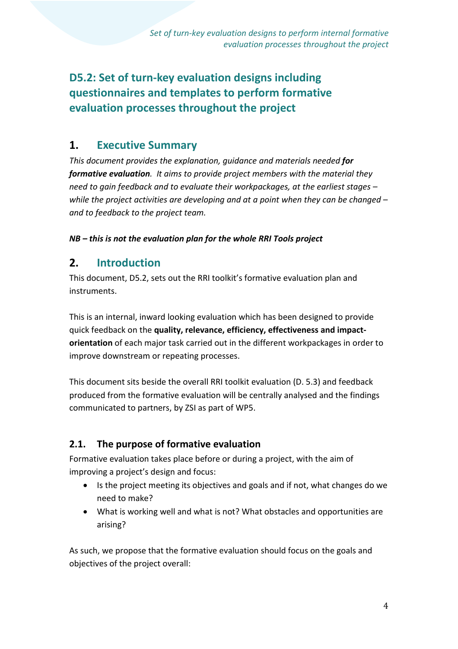# **D5.2: Set of turn-key evaluation designs including questionnaires and templates to perform formative evaluation processes throughout the project**

# **1. Executive Summary**

*This document provides the explanation, guidance and materials needed for formative evaluation. It aims to provide project members with the material they need to gain feedback and to evaluate their workpackages, at the earliest stages – while the project activities are developing and at a point when they can be changed – and to feedback to the project team.*

### *NB – this is not the evaluation plan for the whole RRI Tools project*

# **2. Introduction**

This document, D5.2, sets out the RRI toolkit's formative evaluation plan and instruments.

This is an internal, inward looking evaluation which has been designed to provide quick feedback on the **quality, relevance, efficiency, effectiveness and impactorientation** of each major task carried out in the different workpackages in order to improve downstream or repeating processes.

This document sits beside the overall RRI toolkit evaluation (D. 5.3) and feedback produced from the formative evaluation will be centrally analysed and the findings communicated to partners, by ZSI as part of WP5.

## **2.1. The purpose of formative evaluation**

Formative evaluation takes place before or during a project, with the aim of improving a project's design and focus:

- Is the project meeting its objectives and goals and if not, what changes do we need to make?
- What is working well and what is not? What obstacles and opportunities are arising?

As such, we propose that the formative evaluation should focus on the goals and objectives of the project overall: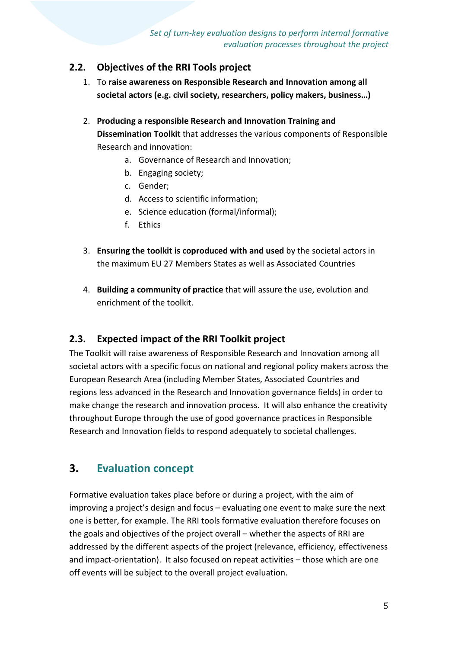### **2.2. Objectives of the RRI Tools project**

- 1. To **raise awareness on Responsible Research and Innovation among all societal actors (e.g. civil society, researchers, policy makers, business…)**
- 2. **Producing a responsible Research and Innovation Training and Dissemination Toolkit** that addresses the various components of Responsible Research and innovation:
	- a. Governance of Research and Innovation;
	- b. Engaging society;
	- c. Gender;
	- d. Access to scientific information;
	- e. Science education (formal/informal);
	- f. Ethics
- 3. **Ensuring the toolkit is coproduced with and used** by the societal actors in the maximum EU 27 Members States as well as Associated Countries
- 4. **Building a community of practice** that will assure the use, evolution and enrichment of the toolkit.

## **2.3. Expected impact of the RRI Toolkit project**

The Toolkit will raise awareness of Responsible Research and Innovation among all societal actors with a specific focus on national and regional policy makers across the European Research Area (including Member States, Associated Countries and regions less advanced in the Research and Innovation governance fields) in order to make change the research and innovation process. It will also enhance the creativity throughout Europe through the use of good governance practices in Responsible Research and Innovation fields to respond adequately to societal challenges.

# **3. Evaluation concept**

Formative evaluation takes place before or during a project, with the aim of improving a project's design and focus – evaluating one event to make sure the next one is better, for example. The RRI tools formative evaluation therefore focuses on the goals and objectives of the project overall – whether the aspects of RRI are addressed by the different aspects of the project (relevance, efficiency, effectiveness and impact-orientation). It also focused on repeat activities – those which are one off events will be subject to the overall project evaluation.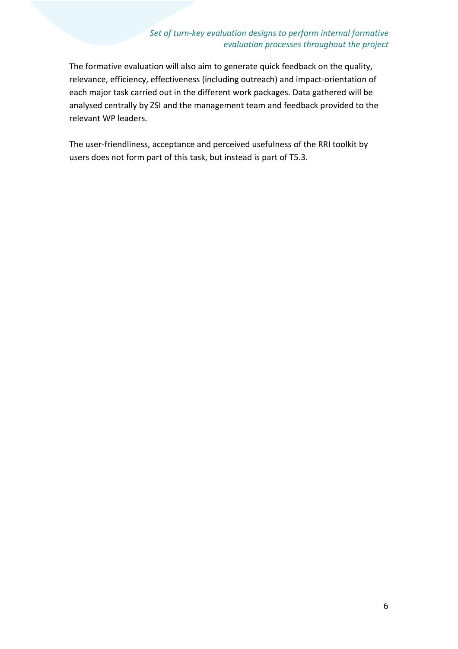The formative evaluation will also aim to generate quick feedback on the quality, relevance, efficiency, effectiveness (including outreach) and impact-orientation of each major task carried out in the different work packages. Data gathered will be analysed centrally by ZSI and the management team and feedback provided to the relevant WP leaders.

The user-friendliness, acceptance and perceived usefulness of the RRI toolkit by users does not form part of this task, but instead is part of T5.3.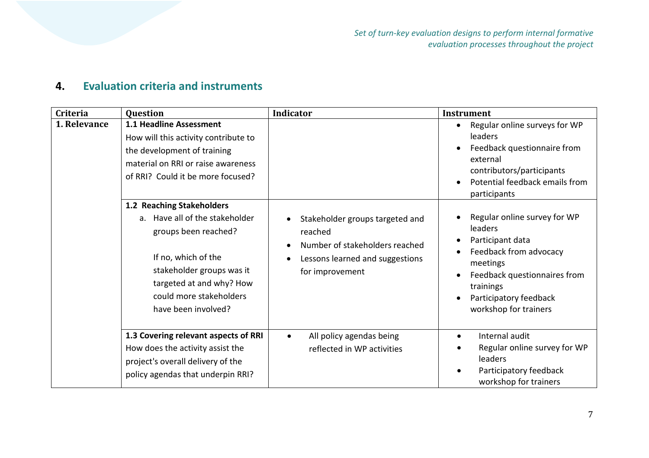# **4. Evaluation criteria and instruments**

| <b>Criteria</b> | <b>Question</b>                                                                                                                                                                                                       | Indicator                                                                                                                                                                 | <b>Instrument</b>                                                                                                                                                                                                                        |
|-----------------|-----------------------------------------------------------------------------------------------------------------------------------------------------------------------------------------------------------------------|---------------------------------------------------------------------------------------------------------------------------------------------------------------------------|------------------------------------------------------------------------------------------------------------------------------------------------------------------------------------------------------------------------------------------|
| 1. Relevance    | 1.1 Headline Assessment<br>How will this activity contribute to<br>the development of training<br>material on RRI or raise awareness<br>of RRI? Could it be more focused?                                             |                                                                                                                                                                           | Regular online surveys for WP<br>$\bullet$<br>leaders<br>Feedback questionnaire from<br>$\bullet$<br>external<br>contributors/participants<br>Potential feedback emails from<br>$\bullet$<br>participants                                |
|                 | 1.2 Reaching Stakeholders<br>a. Have all of the stakeholder<br>groups been reached?<br>If no, which of the<br>stakeholder groups was it<br>targeted at and why? How<br>could more stakeholders<br>have been involved? | Stakeholder groups targeted and<br>$\bullet$<br>reached<br>Number of stakeholders reached<br>$\bullet$<br>Lessons learned and suggestions<br>$\bullet$<br>for improvement | Regular online survey for WP<br>leaders<br>Participant data<br>$\bullet$<br>Feedback from advocacy<br>$\bullet$<br>meetings<br>Feedback questionnaires from<br>$\bullet$<br>trainings<br>Participatory feedback<br>workshop for trainers |
|                 | 1.3 Covering relevant aspects of RRI<br>How does the activity assist the<br>project's overall delivery of the<br>policy agendas that underpin RRI?                                                                    | All policy agendas being<br>$\bullet$<br>reflected in WP activities                                                                                                       | Internal audit<br>$\bullet$<br>Regular online survey for WP<br>leaders<br>Participatory feedback<br>workshop for trainers                                                                                                                |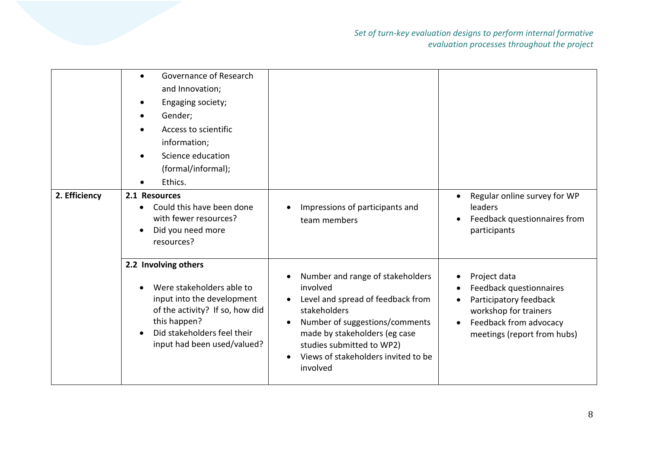|               | Governance of Research<br>and Innovation;<br>Engaging society;<br>Gender;<br>Access to scientific<br>information;<br>Science education<br>(formal/informal);<br>Ethics.                          |                                                                                                                                                                                                                                                                   |                                                                                                                                                     |
|---------------|--------------------------------------------------------------------------------------------------------------------------------------------------------------------------------------------------|-------------------------------------------------------------------------------------------------------------------------------------------------------------------------------------------------------------------------------------------------------------------|-----------------------------------------------------------------------------------------------------------------------------------------------------|
| 2. Efficiency | 2.1 Resources<br>Could this have been done<br>with fewer resources?<br>Did you need more<br>resources?                                                                                           | Impressions of participants and<br>team members                                                                                                                                                                                                                   | Regular online survey for WP<br><b>leaders</b><br>Feedback questionnaires from<br>participants                                                      |
|               | 2.2 Involving others<br>Were stakeholders able to<br>input into the development<br>of the activity? If so, how did<br>this happen?<br>Did stakeholders feel their<br>input had been used/valued? | Number and range of stakeholders<br>involved<br>Level and spread of feedback from<br>$\bullet$<br>stakeholders<br>Number of suggestions/comments<br>made by stakeholders (eg case<br>studies submitted to WP2)<br>Views of stakeholders invited to be<br>involved | Project data<br>Feedback questionnaires<br>Participatory feedback<br>workshop for trainers<br>Feedback from advocacy<br>meetings (report from hubs) |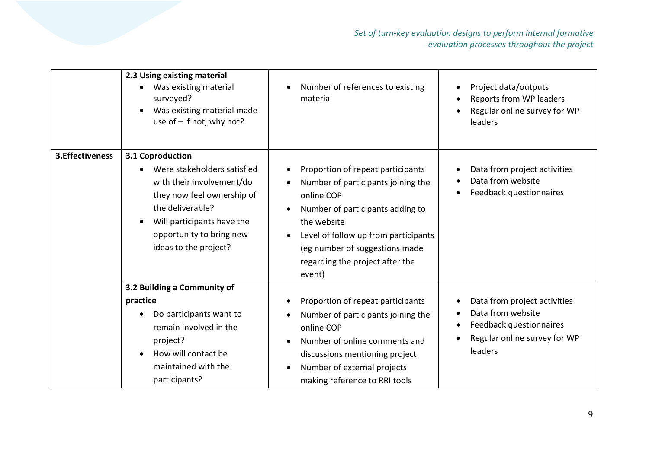|                  | 2.3 Using existing material<br>Was existing material<br>surveyed?<br>Was existing material made<br>use of - if not, why not?                                                                                      | Number of references to existing<br>$\bullet$<br>material                                                                                                                                                                                                                                              | Project data/outputs<br>Reports from WP leaders<br>Regular online survey for WP<br>leaders                                     |
|------------------|-------------------------------------------------------------------------------------------------------------------------------------------------------------------------------------------------------------------|--------------------------------------------------------------------------------------------------------------------------------------------------------------------------------------------------------------------------------------------------------------------------------------------------------|--------------------------------------------------------------------------------------------------------------------------------|
| 3. Effectiveness | 3.1 Coproduction<br>Were stakeholders satisfied<br>with their involvement/do<br>they now feel ownership of<br>the deliverable?<br>Will participants have the<br>opportunity to bring new<br>ideas to the project? | Proportion of repeat participants<br>$\bullet$<br>Number of participants joining the<br>$\bullet$<br>online COP<br>Number of participants adding to<br>the website<br>Level of follow up from participants<br>$\bullet$<br>(eg number of suggestions made<br>regarding the project after the<br>event) | Data from project activities<br>Data from website<br>Feedback questionnaires                                                   |
|                  | 3.2 Building a Community of<br>practice<br>Do participants want to<br>remain involved in the<br>project?<br>How will contact be<br>maintained with the<br>participants?                                           | Proportion of repeat participants<br>$\bullet$<br>Number of participants joining the<br>online COP<br>Number of online comments and<br>$\bullet$<br>discussions mentioning project<br>Number of external projects<br>$\bullet$<br>making reference to RRI tools                                        | Data from project activities<br>Data from website<br>Feedback questionnaires<br>Regular online survey for WP<br><b>leaders</b> |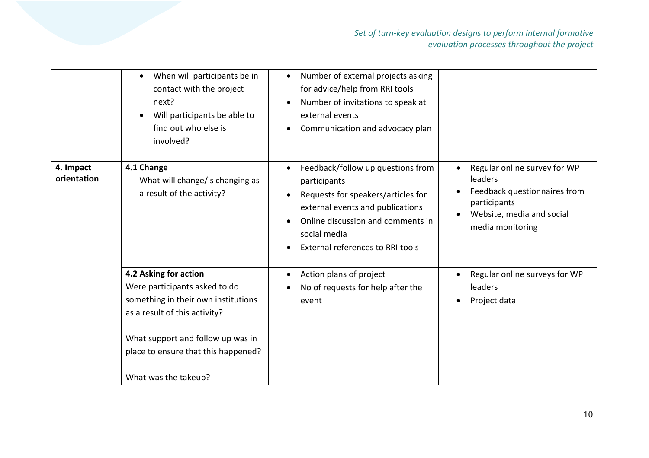|                          | When will participants be in<br>contact with the project<br>next?<br>Will participants be able to<br>find out who else is<br>involved?                                                                                             | Number of external projects asking<br>$\bullet$<br>for advice/help from RRI tools<br>Number of invitations to speak at<br>$\bullet$<br>external events<br>Communication and advocacy plan<br>$\bullet$                            |                                                                                                                                          |
|--------------------------|------------------------------------------------------------------------------------------------------------------------------------------------------------------------------------------------------------------------------------|-----------------------------------------------------------------------------------------------------------------------------------------------------------------------------------------------------------------------------------|------------------------------------------------------------------------------------------------------------------------------------------|
| 4. Impact<br>orientation | 4.1 Change<br>What will change/is changing as<br>a result of the activity?                                                                                                                                                         | Feedback/follow up questions from<br>participants<br>Requests for speakers/articles for<br>external events and publications<br>Online discussion and comments in<br>social media<br>External references to RRI tools<br>$\bullet$ | Regular online survey for WP<br>leaders<br>Feedback questionnaires from<br>participants<br>Website, media and social<br>media monitoring |
|                          | 4.2 Asking for action<br>Were participants asked to do<br>something in their own institutions<br>as a result of this activity?<br>What support and follow up was in<br>place to ensure that this happened?<br>What was the takeup? | Action plans of project<br>$\bullet$<br>No of requests for help after the<br>event                                                                                                                                                | Regular online surveys for WP<br>leaders<br>Project data                                                                                 |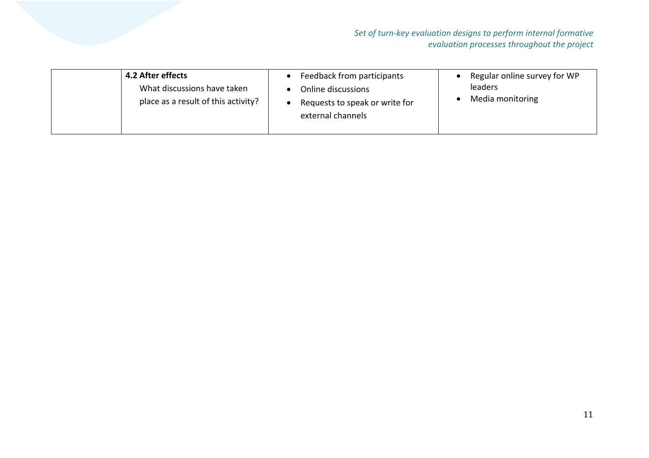| 4.2 After effects<br>What discussions have taken<br>place as a result of this activity? | Feedback from participants<br>Online discussions<br>Requests to speak or write for<br>external channels | Regular online survey for WP<br><b>leaders</b><br>Media monitoring |
|-----------------------------------------------------------------------------------------|---------------------------------------------------------------------------------------------------------|--------------------------------------------------------------------|
|-----------------------------------------------------------------------------------------|---------------------------------------------------------------------------------------------------------|--------------------------------------------------------------------|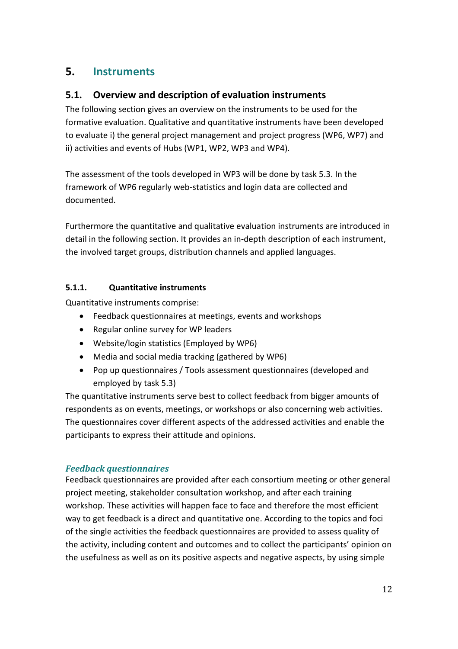# **5. Instruments**

### **5.1. Overview and description of evaluation instruments**

The following section gives an overview on the instruments to be used for the formative evaluation. Qualitative and quantitative instruments have been developed to evaluate i) the general project management and project progress (WP6, WP7) and ii) activities and events of Hubs (WP1, WP2, WP3 and WP4).

The assessment of the tools developed in WP3 will be done by task 5.3. In the framework of WP6 regularly web-statistics and login data are collected and documented.

Furthermore the quantitative and qualitative evaluation instruments are introduced in detail in the following section. It provides an in-depth description of each instrument, the involved target groups, distribution channels and applied languages.

#### **5.1.1. Quantitative instruments**

Quantitative instruments comprise:

- Feedback questionnaires at meetings, events and workshops
- Regular online survey for WP leaders
- Website/login statistics (Employed by WP6)
- Media and social media tracking (gathered by WP6)
- Pop up questionnaires / Tools assessment questionnaires (developed and employed by task 5.3)

The quantitative instruments serve best to collect feedback from bigger amounts of respondents as on events, meetings, or workshops or also concerning web activities. The questionnaires cover different aspects of the addressed activities and enable the participants to express their attitude and opinions.

### *Feedback questionnaires*

Feedback questionnaires are provided after each consortium meeting or other general project meeting, stakeholder consultation workshop, and after each training workshop. These activities will happen face to face and therefore the most efficient way to get feedback is a direct and quantitative one. According to the topics and foci of the single activities the feedback questionnaires are provided to assess quality of the activity, including content and outcomes and to collect the participants' opinion on the usefulness as well as on its positive aspects and negative aspects, by using simple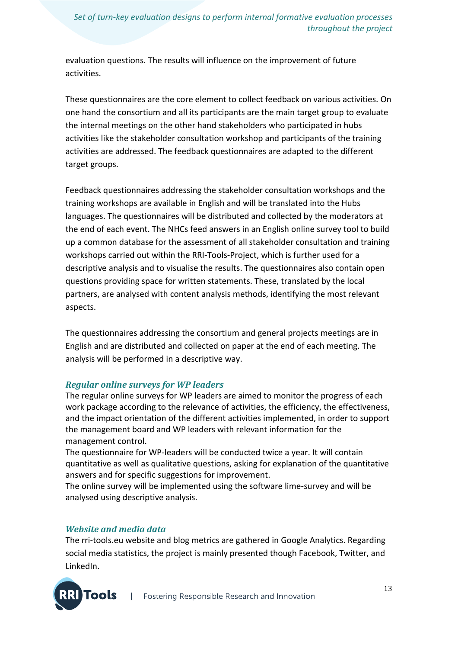evaluation questions. The results will influence on the improvement of future activities.

These questionnaires are the core element to collect feedback on various activities. On one hand the consortium and all its participants are the main target group to evaluate the internal meetings on the other hand stakeholders who participated in hubs activities like the stakeholder consultation workshop and participants of the training activities are addressed. The feedback questionnaires are adapted to the different target groups.

Feedback questionnaires addressing the stakeholder consultation workshops and the training workshops are available in English and will be translated into the Hubs languages. The questionnaires will be distributed and collected by the moderators at the end of each event. The NHCs feed answers in an English online survey tool to build up a common database for the assessment of all stakeholder consultation and training workshops carried out within the RRI-Tools-Project, which is further used for a descriptive analysis and to visualise the results. The questionnaires also contain open questions providing space for written statements. These, translated by the local partners, are analysed with content analysis methods, identifying the most relevant aspects.

The questionnaires addressing the consortium and general projects meetings are in English and are distributed and collected on paper at the end of each meeting. The analysis will be performed in a descriptive way.

### *Regular online surveys for WP leaders*

The regular online surveys for WP leaders are aimed to monitor the progress of each work package according to the relevance of activities, the efficiency, the effectiveness, and the impact orientation of the different activities implemented, in order to support the management board and WP leaders with relevant information for the management control.

The questionnaire for WP-leaders will be conducted twice a year. It will contain quantitative as well as qualitative questions, asking for explanation of the quantitative answers and for specific suggestions for improvement.

The online survey will be implemented using the software lime-survey and will be analysed using descriptive analysis.

#### *Website and media data*

The rri-tools.eu website and blog metrics are gathered in Google Analytics. Regarding social media statistics, the project is mainly presented though Facebook, Twitter, and LinkedIn.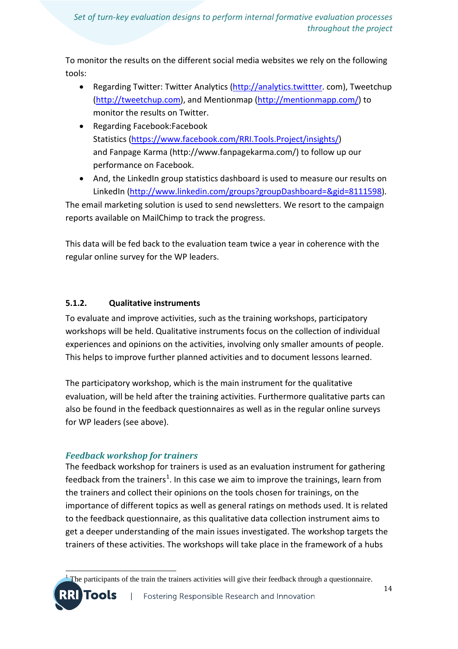To monitor the results on the different social media websites we rely on the following tools:

- Regarding Twitter: Twitter Analytics [\(http://analytics.twittter.](http://analytics.twittter/)com), Tweetchup [\(http://tweetchup.com\)](http://tweetchup.com/), and Mentionmap [\(http://mentionmapp.com/\)](http://mentionmapp.com/) to monitor the results on Twitter.
- Regarding Facebook:Facebook Statistics [\(https://www.facebook.com/RRI.Tools.Project/insights/\)](https://www.facebook.com/RRI.Tools.Project/insights/) and Fanpage Karma (http://www.fanpagekarma.com/) to follow up our performance on Facebook.
- And, the LinkedIn group statistics dashboard is used to measure our results on LinkedIn [\(http://www.linkedin.com/groups?groupDashboard=&gid=8111598\)](http://www.linkedin.com/groups?groupDashboard=&gid=8111598).

The email marketing solution is used to send newsletters. We resort to the campaign reports available on MailChimp to track the progress.

This data will be fed back to the evaluation team twice a year in coherence with the regular online survey for the WP leaders.

### **5.1.2. Qualitative instruments**

To evaluate and improve activities, such as the training workshops, participatory workshops will be held. Qualitative instruments focus on the collection of individual experiences and opinions on the activities, involving only smaller amounts of people. This helps to improve further planned activities and to document lessons learned.

The participatory workshop, which is the main instrument for the qualitative evaluation, will be held after the training activities. Furthermore qualitative parts can also be found in the feedback questionnaires as well as in the regular online surveys for WP leaders (see above).

## *Feedback workshop for trainers*

**Tools** 

The feedback workshop for trainers is used as an evaluation instrument for gathering feedback from the trainers<sup>[1](#page-0-0)</sup>. In this case we aim to improve the trainings, learn from the trainers and collect their opinions on the tools chosen for trainings, on the importance of different topics as well as general ratings on methods used. It is related to the feedback questionnaire, as this qualitative data collection instrument aims to get a deeper understanding of the main issues investigated. The workshop targets the trainers of these activities. The workshops will take place in the framework of a hubs

#### $\frac{1}{1}$ The participants of the train the trainers activities will give their feedback through a questionnaire.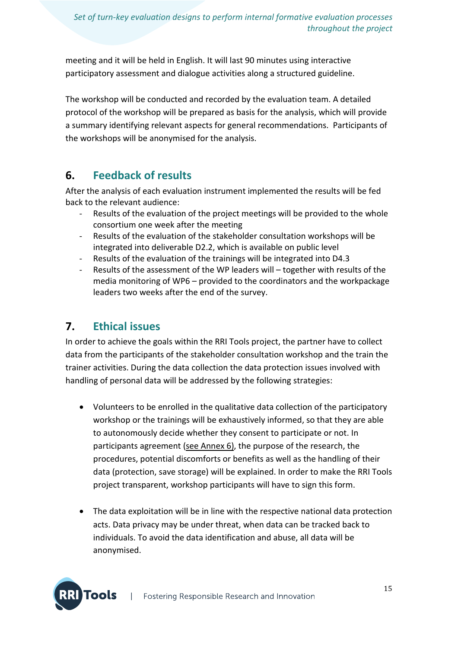meeting and it will be held in English. It will last 90 minutes using interactive participatory assessment and dialogue activities along a structured guideline.

The workshop will be conducted and recorded by the evaluation team. A detailed protocol of the workshop will be prepared as basis for the analysis, which will provide a summary identifying relevant aspects for general recommendations. Participants of the workshops will be anonymised for the analysis.

# **6. Feedback of results**

After the analysis of each evaluation instrument implemented the results will be fed back to the relevant audience:

- Results of the evaluation of the project meetings will be provided to the whole consortium one week after the meeting
- Results of the evaluation of the stakeholder consultation workshops will be integrated into deliverable D2.2, which is available on public level
- Results of the evaluation of the trainings will be integrated into D4.3
- Results of the assessment of the WP leaders will together with results of the media monitoring of WP6 – provided to the coordinators and the workpackage leaders two weeks after the end of the survey.

# **7. Ethical issues**

In order to achieve the goals within the RRI Tools project, the partner have to collect data from the participants of the stakeholder consultation workshop and the train the trainer activities. During the data collection the data protection issues involved with handling of personal data will be addressed by the following strategies:

- Volunteers to be enrolled in the qualitative data collection of the participatory workshop or the trainings will be exhaustively informed, so that they are able to autonomously decide whether they consent to participate or not. In participants agreement (see Annex 6), the purpose of the research, the procedures, potential discomforts or benefits as well as the handling of their data (protection, save storage) will be explained. In order to make the RRI Tools project transparent, workshop participants will have to sign this form.
- The data exploitation will be in line with the respective national data protection acts. Data privacy may be under threat, when data can be tracked back to individuals. To avoid the data identification and abuse, all data will be anonymised.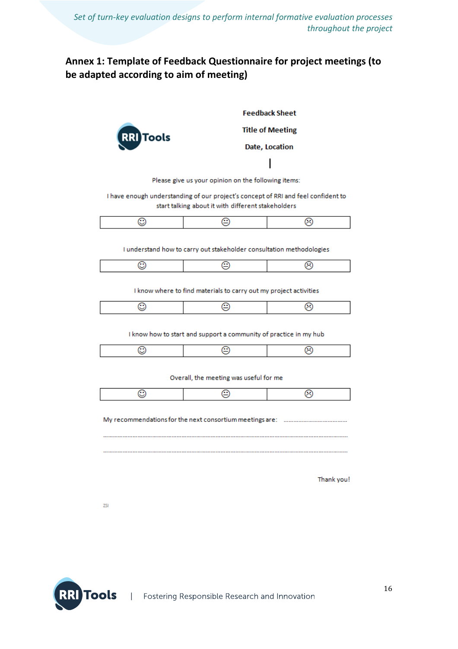### **Annex 1: Template of Feedback Questionnaire for project meetings (to be adapted according to aim of meeting)**



**Feedback Sheet** 

#### **Title of Meeting**

#### Date, Location

Please give us your opinion on the following items:

I have enough understanding of our project's concept of RRI and feel confident to start talking about it with different stakeholders

I understand how to carry out stakeholder consultation methodologies

I know where to find materials to carry out my project activities

I know how to start and support a community of practice in my hub

|--|

Overall, the meeting was useful for me

Thank you!

 $25$ 

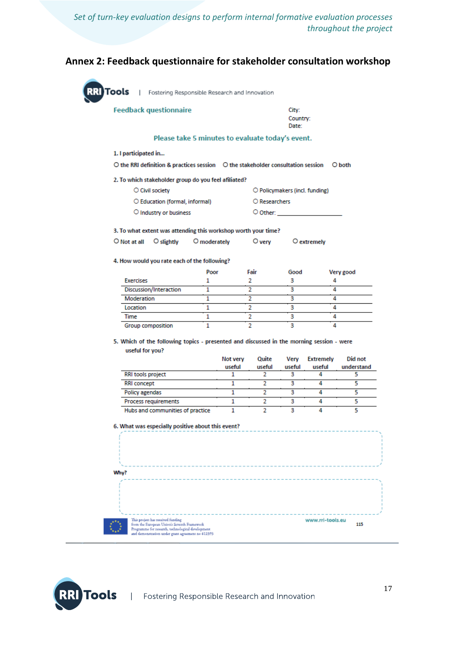#### **Annex 2: Feedback questionnaire for stakeholder consultation workshop**

Tools | Fostering Responsible Research and Innovation **Feedback questionnaire** City: Country: Date: Please take 5 minutes to evaluate today's event. 1. I participated in... 2. To which stakeholder group do you feel afiliated? O Civil society O Policymakers (incl. funding) O Education (formal, informal) O Researchers O Industry or business O Other: 3. To what extent was attending this workshop worth your time? O Not at all O slightly O moderately O very O extremely 4. How would you rate each of the following? Poor Fair Good **Exercises** 1  $\mathcal{D}$ З Discussion/Interaction  $\overline{1}$  $\overline{2}$  $\overline{\mathbf{3}}$ Moderation  $\overline{1}$  $\overline{2}$ 3  $\overline{\mathbf{2}}$ 3 Location  $\overline{1}$ Time  $\overline{1}$  $\overline{2}$  $\overline{\mathbf{3}}$  $\overline{2}$  $\overline{\mathbf{3}}$  $\overline{1}$ Group composition 5. Which of the following topics - presented and discussed in the morning session - were useful for you? Not very Quite Very **Extremely** useful useful useful useful RRI tools project  $\overline{\mathbf{c}}$ 3 4 1  $\overline{4}$ **RRI** concept  $\overline{1}$  $\overline{2}$ 3  $\overline{1}$  $\overline{2}$ 3 4 Policy agendas  $\overline{4}$ **Process requirements** ī  $\overline{2}$  $\overline{\mathbf{3}}$  $\overline{\mathbf{3}}$  $\overline{4}$ Hubs and communities of practice  $\mathbf{1}$  $\overline{2}$ 

6. What was especially positive about this event?





O both

Very good

4

 $\overline{4}$ 

4

4

4

 $\overline{\mathbf{A}}$ 

Did not

understand

5

5

5

τ

τ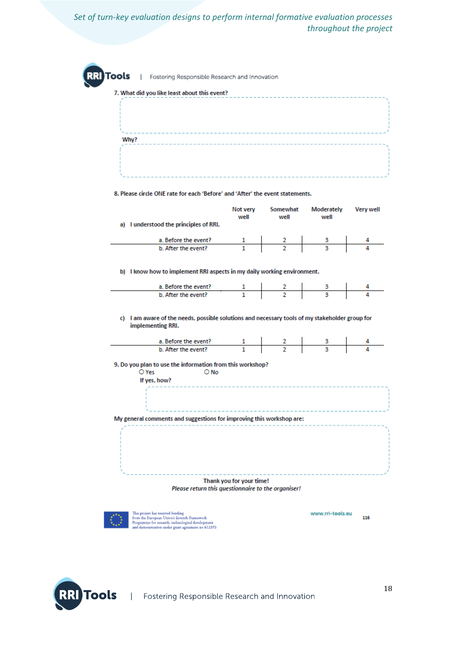| 7. What did you like least about this event?<br>Why?<br>8. Please circle ONE rate for each 'Before' and 'After' the event statements. |                          | ----------------------- |                    |           |
|---------------------------------------------------------------------------------------------------------------------------------------|--------------------------|-------------------------|--------------------|-----------|
|                                                                                                                                       |                          |                         |                    |           |
|                                                                                                                                       |                          |                         |                    |           |
|                                                                                                                                       |                          |                         |                    |           |
|                                                                                                                                       |                          |                         |                    |           |
|                                                                                                                                       |                          |                         |                    |           |
|                                                                                                                                       |                          |                         |                    |           |
|                                                                                                                                       |                          |                         |                    |           |
|                                                                                                                                       |                          |                         |                    |           |
|                                                                                                                                       |                          |                         |                    |           |
|                                                                                                                                       |                          |                         |                    |           |
|                                                                                                                                       | Not very<br>well         | Somewhat<br>well        | Moderately<br>well | Very well |
| a) I understood the principles of RRI.                                                                                                |                          |                         |                    |           |
|                                                                                                                                       |                          |                         |                    |           |
| a. Before the event? 1 2 3 4<br>b. After the event? 1 2 3 4                                                                           |                          |                         |                    |           |
|                                                                                                                                       |                          |                         |                    |           |
| b) I know how to implement RRI aspects in my daily working environment.                                                               |                          |                         |                    |           |
| a. Before the event? 1 2 3 4<br>b. After the event? 1 2 3 4                                                                           |                          |                         |                    |           |
|                                                                                                                                       |                          |                         |                    |           |
|                                                                                                                                       |                          |                         |                    |           |
| c) I am aware of the needs, possible solutions and necessary tools of my stakeholder group for                                        |                          |                         |                    |           |
| implementing RRI.                                                                                                                     |                          |                         |                    |           |
|                                                                                                                                       |                          |                         |                    |           |
| a. Before the event? 1 2 3 4<br>b. After the event? 1 2 3 4                                                                           |                          |                         |                    |           |
|                                                                                                                                       |                          |                         |                    |           |
| 9. Do you plan to use the information from this workshop?<br>O Yes<br>O No                                                            |                          |                         |                    |           |
| If yes, how?                                                                                                                          |                          |                         |                    |           |
|                                                                                                                                       |                          |                         |                    |           |
|                                                                                                                                       |                          |                         |                    |           |
|                                                                                                                                       |                          |                         |                    |           |
| My general comments and suggestions for improving this workshop are:                                                                  |                          |                         |                    |           |
|                                                                                                                                       |                          |                         |                    |           |
|                                                                                                                                       |                          |                         |                    |           |
|                                                                                                                                       |                          |                         |                    |           |
|                                                                                                                                       |                          |                         |                    |           |
|                                                                                                                                       |                          |                         |                    |           |
|                                                                                                                                       |                          |                         |                    |           |
|                                                                                                                                       | Thank you for your time! |                         |                    |           |
| Please return this questionnaire to the organiser!                                                                                    |                          |                         |                    |           |
|                                                                                                                                       |                          |                         |                    |           |
|                                                                                                                                       |                          |                         |                    |           |
| This project has received funding<br>from the European Union's Seventh Framework                                                      |                          |                         | www.rri-tools.eu   | 116       |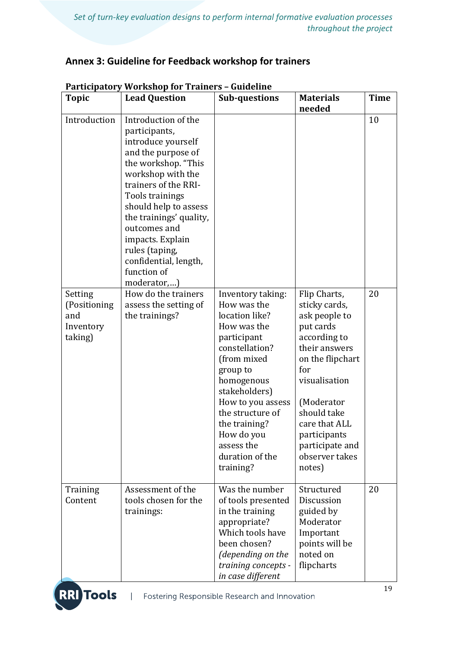## **Annex 3: Guideline for Feedback workshop for trainers**

| <b>Topic</b>                                                           | <b>Lead Question</b>                                                                                                                                                                                                                                                                                                                                                                                       | <b>Sub-questions</b>                                                                                                                                                                                                                                                               | <b>Materials</b><br>needed                                                                                                                                                                                                                            | <b>Time</b> |
|------------------------------------------------------------------------|------------------------------------------------------------------------------------------------------------------------------------------------------------------------------------------------------------------------------------------------------------------------------------------------------------------------------------------------------------------------------------------------------------|------------------------------------------------------------------------------------------------------------------------------------------------------------------------------------------------------------------------------------------------------------------------------------|-------------------------------------------------------------------------------------------------------------------------------------------------------------------------------------------------------------------------------------------------------|-------------|
| Introduction<br>Setting<br>(Positioning<br>and<br>Inventory<br>taking) | Introduction of the<br>participants,<br>introduce yourself<br>and the purpose of<br>the workshop. "This<br>workshop with the<br>trainers of the RRI-<br>Tools trainings<br>should help to assess<br>the trainings' quality,<br>outcomes and<br>impacts. Explain<br>rules (taping,<br>confidential, length,<br>function of<br>moderator,)<br>How do the trainers<br>assess the setting of<br>the trainings? | Inventory taking:<br>How was the<br>location like?<br>How was the<br>participant<br>constellation?<br>(from mixed<br>group to<br>homogenous<br>stakeholders)<br>How to you assess<br>the structure of<br>the training?<br>How do you<br>assess the<br>duration of the<br>training? | Flip Charts,<br>sticky cards,<br>ask people to<br>put cards<br>according to<br>their answers<br>on the flipchart<br>for<br>visualisation<br>(Moderator<br>should take<br>care that ALL<br>participants<br>participate and<br>observer takes<br>notes) | 10<br>20    |
| Training<br>Content                                                    | Assessment of the<br>tools chosen for the<br>trainings:                                                                                                                                                                                                                                                                                                                                                    | Was the number<br>of tools presented<br>in the training<br>appropriate?<br>Which tools have<br>been chosen?<br>(depending on the<br>training concepts -<br>in case different                                                                                                       | Structured<br>Discussion<br>guided by<br>Moderator<br>Important<br>points will be<br>noted on<br>flipcharts                                                                                                                                           | 20          |

### **Participatory Workshop for Trainers – Guideline**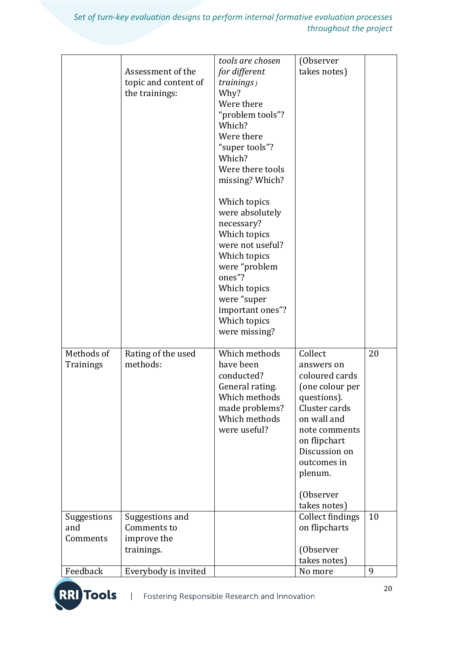|                         | Assessment of the<br>topic and content of<br>the trainings: | tools are chosen<br>for different<br>trainings)<br>Why?<br>Were there<br>"problem tools"?<br>Which?<br>Were there<br>"super tools"?<br>Which?<br>Were there tools<br>missing? Which?<br>Which topics<br>were absolutely<br>necessary?<br>Which topics<br>were not useful?<br>Which topics<br>were "problem | (Observer<br>takes notes)                                                                                                                                                                          |    |
|-------------------------|-------------------------------------------------------------|------------------------------------------------------------------------------------------------------------------------------------------------------------------------------------------------------------------------------------------------------------------------------------------------------------|----------------------------------------------------------------------------------------------------------------------------------------------------------------------------------------------------|----|
|                         |                                                             | ones"?<br>Which topics<br>were "super<br>important ones"?<br>Which topics<br>were missing?                                                                                                                                                                                                                 |                                                                                                                                                                                                    |    |
| Methods of<br>Trainings | Rating of the used<br>methods:                              | Which methods<br>have been<br>conducted?<br>General rating.<br>Which methods<br>made problems?<br>Which methods<br>were useful?                                                                                                                                                                            | Collect<br>answers on<br>coloured cards<br>(one colour per<br>questions).<br>Cluster cards<br>on wall and<br>note comments<br>on flipchart<br>Discussion on<br>outcomes in<br>plenum.<br>(Observer | 20 |
|                         |                                                             |                                                                                                                                                                                                                                                                                                            | takes notes)                                                                                                                                                                                       |    |
| Suggestions<br>and      | Suggestions and<br>Comments to                              |                                                                                                                                                                                                                                                                                                            | <b>Collect findings</b><br>on flipcharts                                                                                                                                                           | 10 |
| Comments                | improve the                                                 |                                                                                                                                                                                                                                                                                                            |                                                                                                                                                                                                    |    |
|                         | trainings.                                                  |                                                                                                                                                                                                                                                                                                            | (Observer                                                                                                                                                                                          |    |
| Feedback                | Everybody is invited                                        |                                                                                                                                                                                                                                                                                                            | takes notes)<br>No more                                                                                                                                                                            | 9  |
|                         |                                                             |                                                                                                                                                                                                                                                                                                            |                                                                                                                                                                                                    |    |

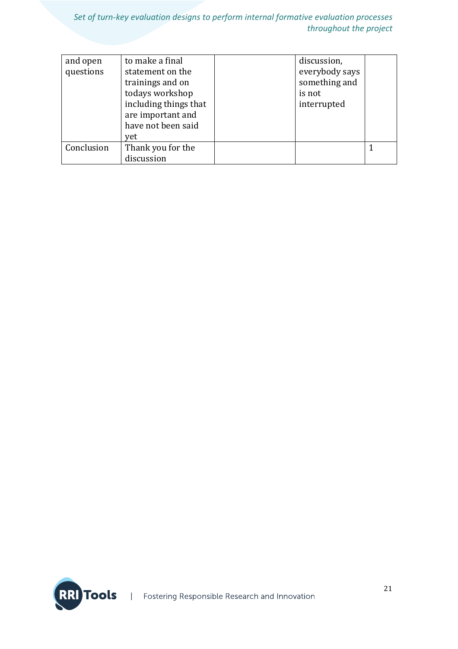| and open<br>questions | to make a final<br>statement on the<br>trainings and on<br>todays workshop<br>including things that<br>are important and<br>have not been said | discussion,<br>everybody says<br>something and<br>is not<br>interrupted |  |
|-----------------------|------------------------------------------------------------------------------------------------------------------------------------------------|-------------------------------------------------------------------------|--|
|                       | yet                                                                                                                                            |                                                                         |  |
| Conclusion            | Thank you for the                                                                                                                              |                                                                         |  |
|                       | discussion                                                                                                                                     |                                                                         |  |

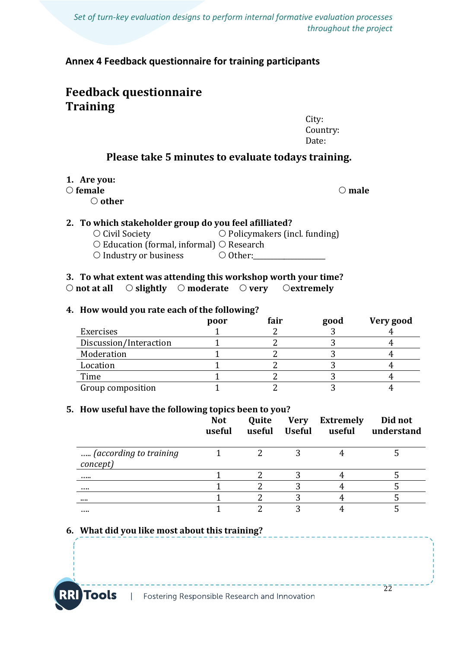**Annex 4 Feedback questionnaire for training participants**

# **Feedback questionnaire Training**

City: Country: Date:

 $\overline{2}\overline{2}$ 

### **Please take 5 minutes to evaluate todays training.**

#### **1. Are you:**

#### *O* **female**  $\qquad$  **<b>male**

**other**

#### **2. To which stakeholder group do you feel afilliated?**

 $\overline{O}$  Civil Society  $\overline{O}$  Policymakers (incl. funding)  $\circ$  Education (formal, informal)  $\circ$  Research  $\bigcirc$  Industry or business  $\bigcirc$  Other:

#### **3. To what extent was attending this workshop worth your time? not at all slightly moderate very extremely**

#### **4. How would you rate each of the following?**

|                        | poor | $\tilde{\phantom{a}}$<br>fair | good | Very good |
|------------------------|------|-------------------------------|------|-----------|
| Exercises              |      |                               |      |           |
| Discussion/Interaction |      |                               |      |           |
| Moderation             |      |                               |      |           |
| Location               |      |                               |      |           |
| Time                   |      |                               |      |           |
| Group composition      |      |                               |      |           |

#### **5. How useful have the following topics been to you?**

|                                    | <b>Not</b><br>useful | Quite<br>useful | Very<br><b>Useful</b> | <b>Extremely</b><br>useful | Did not<br>understand |
|------------------------------------|----------------------|-----------------|-----------------------|----------------------------|-----------------------|
| (according to training<br>concept) |                      |                 |                       |                            |                       |
|                                    |                      |                 |                       |                            |                       |
|                                    |                      |                 |                       |                            |                       |
|                                    |                      |                 |                       |                            |                       |
|                                    |                      |                 | າ                     |                            |                       |

### **6. What did you like most about this training?**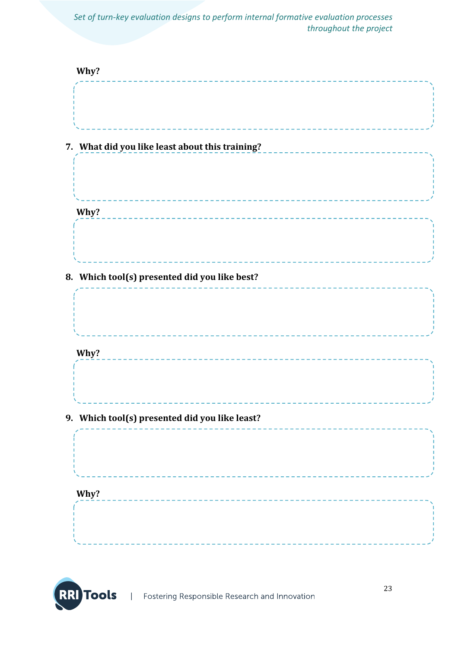| Why?                                            |
|-------------------------------------------------|
|                                                 |
| 7. What did you like least about this training? |
|                                                 |
| Why?<br>_____________________________           |
|                                                 |
| 8. Which tool(s) presented did you like best?   |
|                                                 |
| Why?                                            |
|                                                 |
| 9. Which tool(s) presented did you like least?  |
|                                                 |
| Why?                                            |
|                                                 |
|                                                 |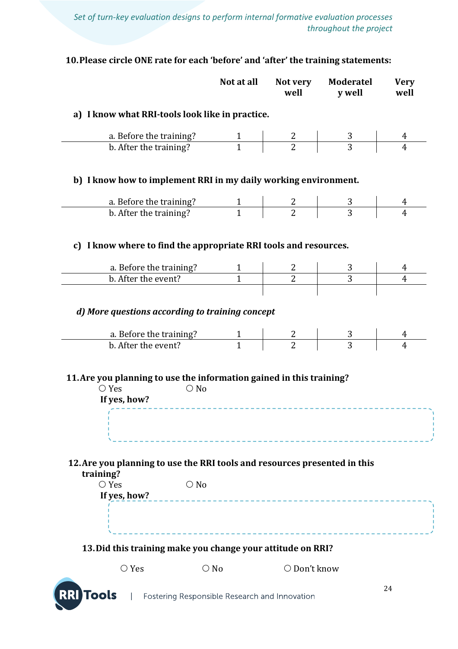## **10.Please circle ONE rate for each 'before' and 'after' the training statements:**

|                                                                                                                                                 |               | Not at all     | Not very<br>well                                                                  | <b>Moderatel</b><br>y well | <b>Very</b><br>well |
|-------------------------------------------------------------------------------------------------------------------------------------------------|---------------|----------------|-----------------------------------------------------------------------------------|----------------------------|---------------------|
| a) I know what RRI-tools look like in practice.                                                                                                 |               |                |                                                                                   |                            |                     |
|                                                                                                                                                 |               |                |                                                                                   |                            |                     |
| a. Before the training?<br>$\frac{1}{1}$<br>$\frac{1}{1}$<br>$\frac{1}{1}$<br>b. After the training?                                            |               |                | $\begin{array}{c c} 2 & \\ 2 & \end{array}$                                       | $\frac{3}{3}$              |                     |
| b) I know how to implement RRI in my daily working environment.                                                                                 |               |                |                                                                                   |                            |                     |
| a. Before the training?<br>$\begin{array}{ c c c c c }\n\hline\n1 & 2 & 3 \\ \hline\nb. After the training? & 1 & 2 & 3 \\ \hline\n\end{array}$ |               |                |                                                                                   |                            |                     |
| b. After the training?                                                                                                                          |               |                |                                                                                   |                            |                     |
| c) I know where to find the appropriate RRI tools and resources.                                                                                |               |                |                                                                                   |                            |                     |
| a. Before the training?                                                                                                                         |               |                |                                                                                   |                            |                     |
| b. After the event?                                                                                                                             |               | $\overline{1}$ | $\overline{2}$                                                                    | $\overline{3}$             | $\overline{4}$      |
| a. Before the training?<br>h. After the event?<br>1<br>b. After the event?                                                                      |               |                | $\begin{array}{ c c c c }\n\hline\n2 & 2 & \\\hline\n2 & & \\\hline\n\end{array}$ |                            |                     |
| 11. Are you planning to use the information gained in this training?<br>$\bigcirc$ Yes                                                          | $\bigcirc$ No |                |                                                                                   |                            |                     |
| If yes, how?<br>12. Are you planning to use the RRI tools and resources presented in this                                                       |               |                |                                                                                   |                            |                     |
| training?                                                                                                                                       |               |                |                                                                                   |                            |                     |
| $\bigcirc$ Yes<br>If yes, how?                                                                                                                  | $\bigcirc$ No |                |                                                                                   |                            |                     |
|                                                                                                                                                 |               |                |                                                                                   |                            |                     |
| 13. Did this training make you change your attitude on RRI?                                                                                     |               |                |                                                                                   |                            |                     |
| $\bigcirc$ Yes                                                                                                                                  |               | $\bigcirc$ No  | O Don't know                                                                      |                            |                     |
| <b>RRI</b> Tools                                                                                                                                |               |                |                                                                                   |                            | 24                  |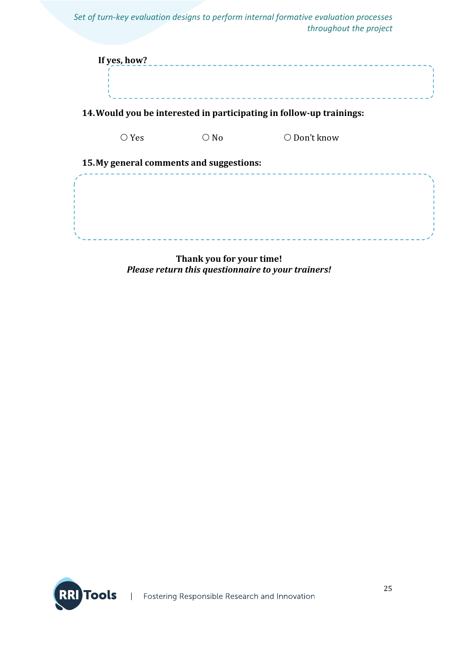|                                          |               | Set of turn-key evaluation designs to perform internal formative evaluation processes<br>throughout the project |  |
|------------------------------------------|---------------|-----------------------------------------------------------------------------------------------------------------|--|
| If yes, how?                             |               |                                                                                                                 |  |
|                                          |               | 14. Would you be interested in participating in follow-up trainings:                                            |  |
| $\bigcirc$ Yes                           | $\bigcirc$ No | ○ Don't know                                                                                                    |  |
| 15. My general comments and suggestions: |               |                                                                                                                 |  |
|                                          |               |                                                                                                                 |  |

**Thank you for your time!**  *Please return this questionnaire to your trainers!*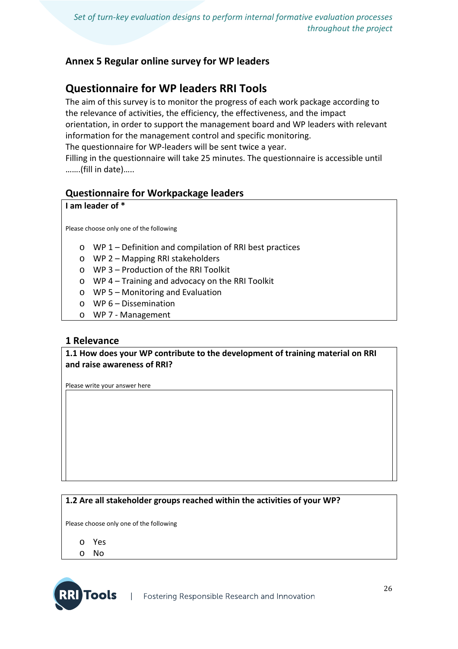### **Annex 5 Regular online survey for WP leaders**

# **Questionnaire for WP leaders RRI Tools**

The aim of this survey is to monitor the progress of each work package according to the relevance of activities, the efficiency, the effectiveness, and the impact orientation, in order to support the management board and WP leaders with relevant information for the management control and specific monitoring. The questionnaire for WP-leaders will be sent twice a year. Filling in the questionnaire will take 25 minutes. The questionnaire is accessible until

## **Questionnaire for Workpackage leaders**

#### **I am leader of \***

…….(fill in date)…..

Please choose only one of the following

- o WP 1 Definition and compilation of RRI best practices
- o WP 2 Mapping RRI stakeholders
- o WP 3 Production of the RRI Toolkit
- o WP 4 Training and advocacy on the RRI Toolkit
- o WP 5 Monitoring and Evaluation
- o WP 6 Dissemination
- o WP 7 Management

### **1 Relevance**

#### **1.1 How does your WP contribute to the development of training material on RRI and raise awareness of RRI?**

Please write your answer here

#### **1.2 Are all stakeholder groups reached within the activities of your WP?**

Please choose only one of the following

- o Yes
- o No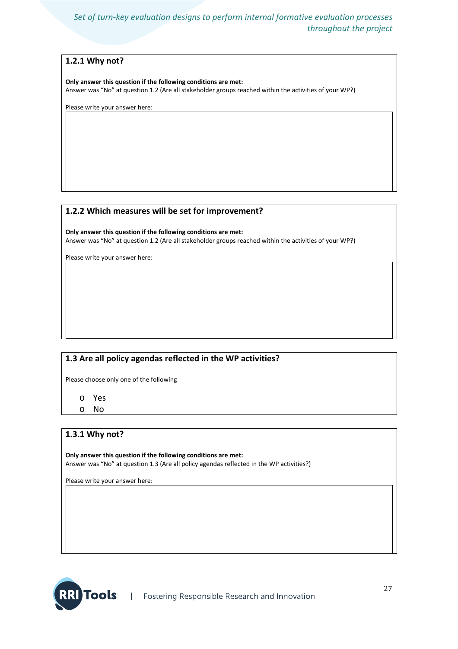#### **1.2.1 Why not?**

**Only answer this question if the following conditions are met:** Answer was "No" at question 1.2 (Are all stakeholder groups reached within the activities of your WP?)

Please write your answer here:

#### **1.2.2 Which measures will be set for improvement?**

**Only answer this question if the following conditions are met:** Answer was "No" at question 1.2 (Are all stakeholder groups reached within the activities of your WP?)

Please write your answer here:

#### **1.3 Are all policy agendas reflected in the WP activities?**

Please choose only one of the following

o Yes

o No

#### **1.3.1 Why not?**

**Only answer this question if the following conditions are met:** Answer was "No" at question 1.3 (Are all policy agendas reflected in the WP activities?)

Please write your answer here:

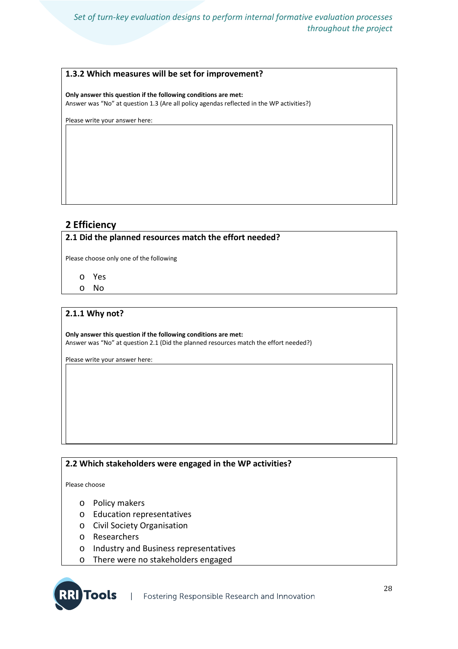#### **1.3.2 Which measures will be set for improvement?**

**Only answer this question if the following conditions are met:**

Answer was "No" at question 1.3 (Are all policy agendas reflected in the WP activities?)

Please write your answer here:

#### **2 Efficiency**

#### **2.1 Did the planned resources match the effort needed?**

Please choose only one of the following

- o Yes
- o No

#### **2.1.1 Why not?**

**Only answer this question if the following conditions are met:** Answer was "No" at question 2.1 (Did the planned resources match the effort needed?)

Please write your answer here:

#### **2.2 Which stakeholders were engaged in the WP activities?**

Please choose

**RI** Tools

- o Policy makers
- o Education representatives
- o Civil Society Organisation
- o Researchers
- o Industry and Business representatives
- o There were no stakeholders engaged

Fostering Responsible Research and Innovation  $\mathbb{R}$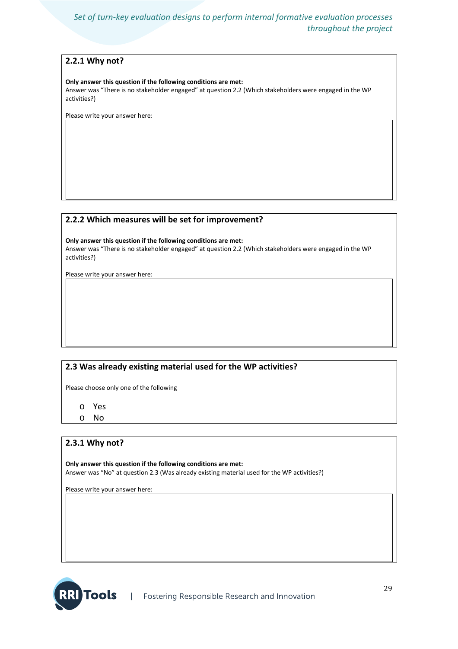#### **2.2.1 Why not?**

#### **Only answer this question if the following conditions are met:**

Answer was "There is no stakeholder engaged" at question 2.2 (Which stakeholders were engaged in the WP activities?)

Please write your answer here:

#### **2.2.2 Which measures will be set for improvement?**

**Only answer this question if the following conditions are met:**

Answer was "There is no stakeholder engaged" at question 2.2 (Which stakeholders were engaged in the WP activities?)

Please write your answer here:

### **2.3 Was already existing material used for the WP activities?**

Please choose only one of the following

- o Yes
- o No

#### **2.3.1 Why not?**

**Only answer this question if the following conditions are met:** Answer was "No" at question 2.3 (Was already existing material used for the WP activities?)

Please write your answer here:

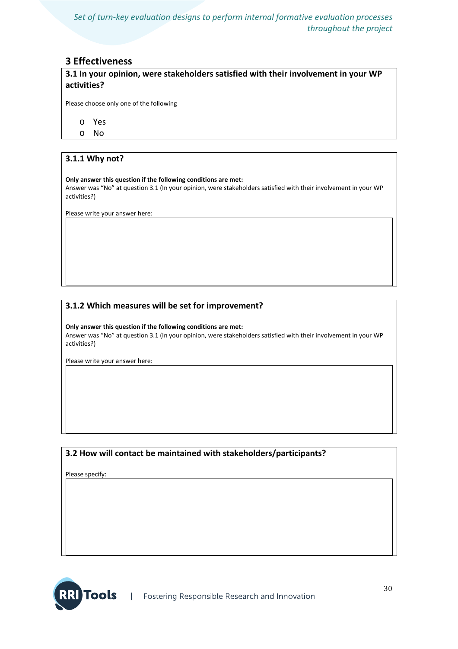#### **3 Effectiveness**

**3.1 In your opinion, were stakeholders satisfied with their involvement in your WP activities?**

Please choose only one of the following

- o Yes
- o No

#### **3.1.1 Why not?**

#### **Only answer this question if the following conditions are met:**

Answer was "No" at question 3.1 (In your opinion, were stakeholders satisfied with their involvement in your WP activities?)

Please write your answer here:

#### **3.1.2 Which measures will be set for improvement?**

**Only answer this question if the following conditions are met:** Answer was "No" at question 3.1 (In your opinion, were stakeholders satisfied with their involvement in your WP activities?)

Please write your answer here:

#### **3.2 How will contact be maintained with stakeholders/participants?**

Please specify:

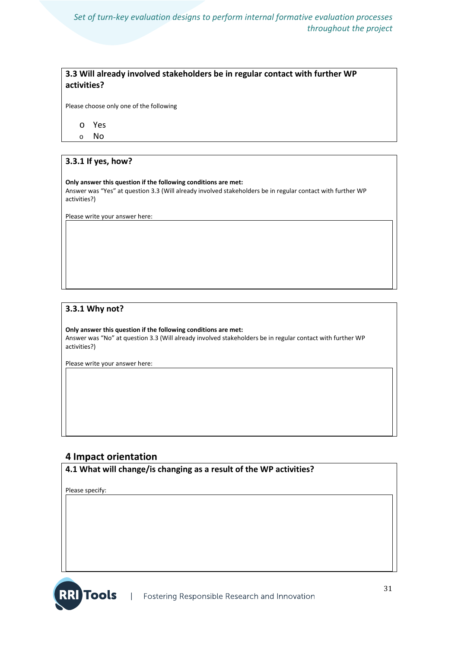#### **3.3 Will already involved stakeholders be in regular contact with further WP activities?**

Please choose only one of the following

o Yes

o No

#### **3.3.1 If yes, how?**

#### **Only answer this question if the following conditions are met:** Answer was "Yes" at question 3.3 (Will already involved stakeholders be in regular contact with further WP activities?)

Please write your answer here:

#### **3.3.1 Why not?**

**Only answer this question if the following conditions are met:** Answer was "No" at question 3.3 (Will already involved stakeholders be in regular contact with further WP activities?)

Please write your answer here:

#### **4 Impact orientation**

**4.1 What will change/is changing as a result of the WP activities?**

Please specify:

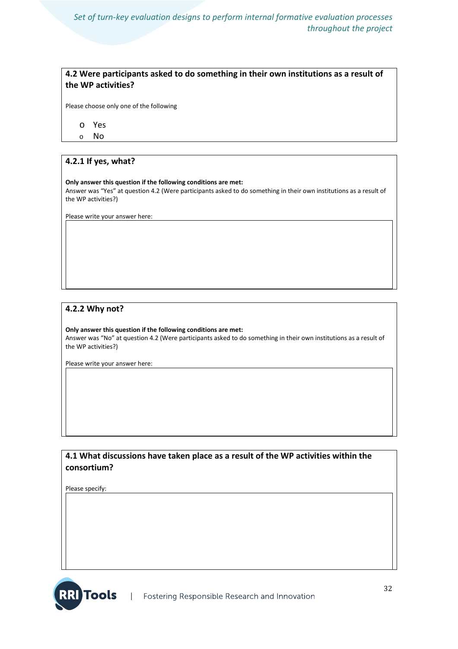#### **4.2 Were participants asked to do something in their own institutions as a result of the WP activities?**

Please choose only one of the following

o Yes

o No

#### **4.2.1 If yes, what?**

#### **Only answer this question if the following conditions are met:**

Answer was "Yes" at question 4.2 (Were participants asked to do something in their own institutions as a result of the WP activities?)

Please write your answer here:

#### **4.2.2 Why not?**

**Only answer this question if the following conditions are met:** Answer was "No" at question 4.2 (Were participants asked to do something in their own institutions as a result of the WP activities?)

Please write your answer here:

#### **4.1 What discussions have taken place as a result of the WP activities within the consortium?**

Please specify:

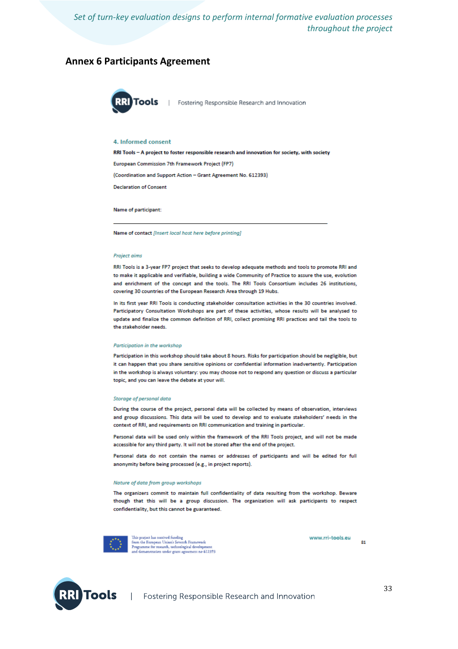#### **Annex 6 Participants Agreement**



Fostering Responsible Research and Innovation

#### 4. Informed consent

RRI Tools - A project to foster responsible research and innovation for society, with society European Commission 7th Framework Project (FP7) (Coordination and Support Action - Grant Agreement No. 612393) **Declaration of Consent** 

Name of participant:

Name of contact [Insert local host here before printing]

#### **Project aims**

RRI Tools is a 3-year FP7 project that seeks to develop adequate methods and tools to promote RRI and to make it applicable and verifiable, building a wide Community of Practice to assure the use, evolution and enrichment of the concept and the tools. The RRI Tools Consortium includes 26 institutions, covering 30 countries of the European Research Area through 19 Hubs.

In its first year RRI Tools is conducting stakeholder consultation activities in the 30 countries involved. Participatory Consultation Workshops are part of these activities, whose results will be analysed to update and finalize the common definition of RRI, collect promising RRI practices and tail the tools to the stakeholder needs.

#### Participation in the workshop

Participation in this workshop should take about 8 hours. Risks for participation should be negligible, but it can happen that you share sensitive opinions or confidential information inadvertently. Participation in the workshop is always voluntary: you may choose not to respond any question or discuss a particular topic, and you can leave the debate at your will.

#### Storage of personal data

During the course of the project, personal data will be collected by means of observation, interviews and group discussions. This data will be used to develop and to evaluate stakeholders' needs in the context of RRI, and requirements on RRI communication and training in particular.

Personal data will be used only within the framework of the RRI Tools project, and will not be made accessible for any third party. It will not be stored after the end of the project

Personal data do not contain the names or addresses of participants and will be edited for full anonymity before being processed (e.g., in project reports).

#### Nature of data from group workshops

The organizers commit to maintain full confidentiality of data resulting from the workshop. Beware though that this will be a group discussion. The organization will ask participants to respect confidentiality, but this cannot be guaranteed.



This project has received funding<br>from the European Union's Seventh Framework<br>Programme for research, technological development<br>and demonstration under gram agreement no 612393

www.rri-tools.eu

 $<sub>81</sub>$ </sub>

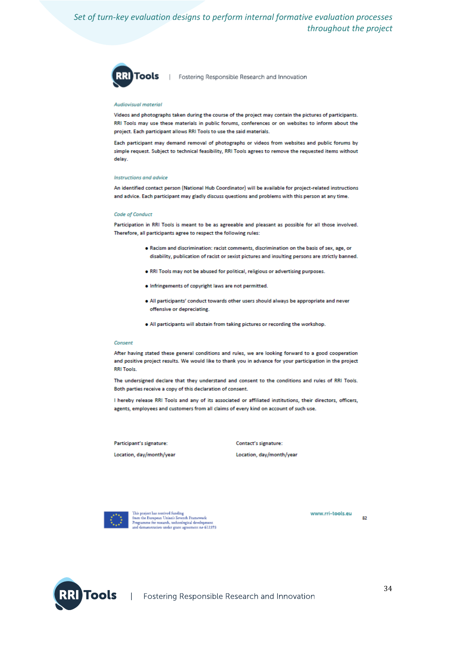

| Fostering Responsible Research and Innovation

#### Audiovisual material

Videos and photographs taken during the course of the project may contain the pictures of participants. RRI Tools may use these materials in public forums, conferences or on websites to inform about the project. Each participant allows RRI Tools to use the said materials.

Each participant may demand removal of photographs or videos from websites and public forums by simple request. Subject to technical feasibility, RRI Tools agrees to remove the requested items without delay.

#### Instructions and advice

An identified contact person (National Hub Coordinator) will be available for project-related instructions and advice. Each participant may gladly discuss questions and problems with this person at any time.

#### Code of Conduct

Participation in RRI Tools is meant to be as agreeable and pleasant as possible for all those involved. Therefore, all participants agree to respect the following rules:

- . Racism and discrimination: racist comments, discrimination on the basis of sex, age, or disability, publication of racist or sexist pictures and insulting persons are strictly banned.
- . RRI Tools may not be abused for political, religious or advertising purposes.
- . Infringements of copyright laws are not permitted.
- . All participants' conduct towards other users should always be appropriate and never offensive or depreciating.
- . All participants will abstain from taking pictures or recording the workshop.

#### Consent

After having stated these general conditions and rules, we are looking forward to a good cooperation and positive project results. We would like to thank you in advance for your participation in the project **RRI Tools** 

The undersigned declare that they understand and consent to the conditions and rules of RRI Tools. Both parties receive a copy of this declaration of consent.

I hereby release RRI Tools and any of its associated or affiliated institutions, their directors, officers, agents, employees and customers from all claims of every kind on account of such use.

Participant's signature:

Location, day/month/year

Contact's signature:

Location, day/month/year



This project has received funding<br>from the European Union's Seventh Framework<br>Programme for research, technological develops<br>and demonstration under grant agreement no 6 астемриник<br>ent n*o* 612393

www.rri-tools.eu 82